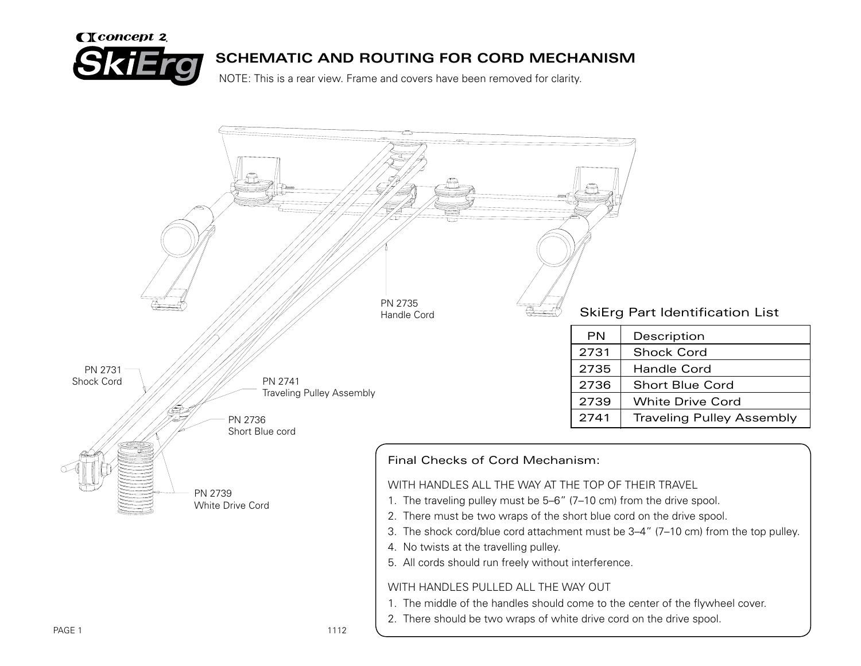

## **SCHEMATIC AND ROUTING FOR CORD MECHANISM**

NOTE: This is a rear view. Frame and covers have been removed for clarity.

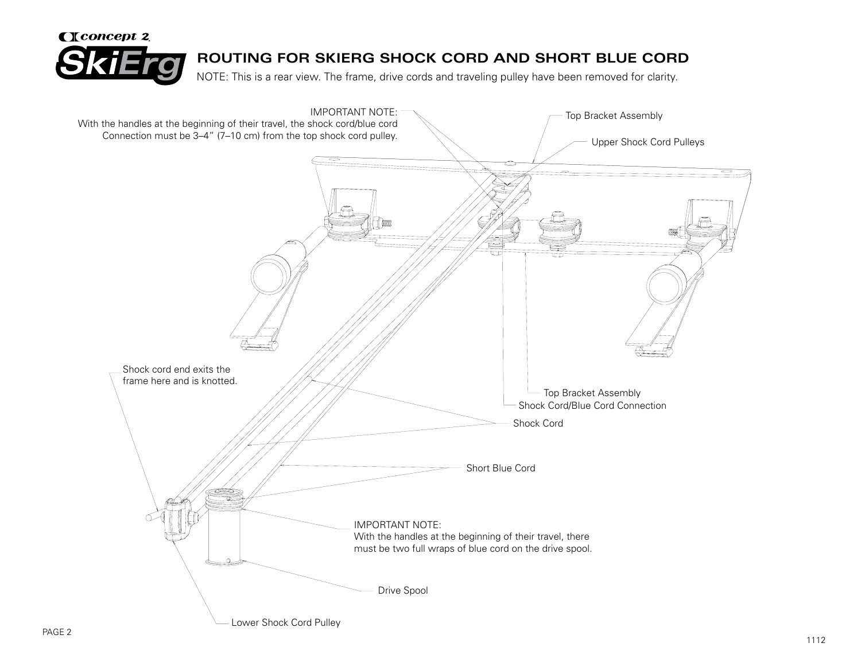